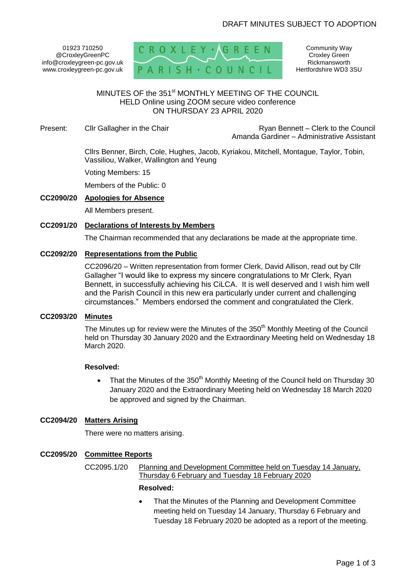01923 710250 @CroxleyGreenPC info@croxleygreen-pc.gov.uk www.croxleygreen-pc.gov.uk



Community Way Croxley Green Rickmansworth Hertfordshire WD3 3SU

# MINUTES OF the 351<sup>st</sup> MONTHLY MEETING OF THE COUNCIL HELD Online using ZOOM secure video conference ON THURSDAY 23 APRIL 2020

Present: Cllr Gallagher in the Chair **Reserve and School Clerk Clerk to the Council** Ryan Bennett – Clerk to the Council Amanda Gardiner – Administrative Assistant

> Cllrs Benner, Birch, Cole, Hughes, Jacob, Kyriakou, Mitchell, Montague, Taylor, Tobin, Vassiliou, Walker, Wallington and Yeung

Voting Members: 15

Members of the Public: 0

#### **CC2090/20 Apologies for Absence**

All Members present.

### **CC2091/20 Declarations of Interests by Members**

The Chairman recommended that any declarations be made at the appropriate time.

## **CC2092/20 Representations from the Public**

CC2096/20 – Written representation from former Clerk, David Allison, read out by Cllr Gallagher "I would like to express my sincere congratulations to Mr Clerk, Ryan Bennett, in successfully achieving his CiLCA. It is well deserved and I wish him well and the Parish Council in this new era particularly under current and challenging circumstances." Members endorsed the comment and congratulated the Clerk.

# **CC2093/20 Minutes**

The Minutes up for review were the Minutes of the  $350<sup>th</sup>$  Monthly Meeting of the Council held on Thursday 30 January 2020 and the Extraordinary Meeting held on Wednesday 18 March 2020.

#### **Resolved:**

• That the Minutes of the  $350<sup>th</sup>$  Monthly Meeting of the Council held on Thursday 30 January 2020 and the Extraordinary Meeting held on Wednesday 18 March 2020 be approved and signed by the Chairman.

#### **CC2094/20 Matters Arising**

There were no matters arising.

# **CC2095/20 Committee Reports**

CC2095.1/20 Planning and Development Committee held on Tuesday 14 January, Thursday 6 February and Tuesday 18 February 2020

#### **Resolved:**

 That the Minutes of the Planning and Development Committee meeting held on Tuesday 14 January, Thursday 6 February and Tuesday 18 February 2020 be adopted as a report of the meeting.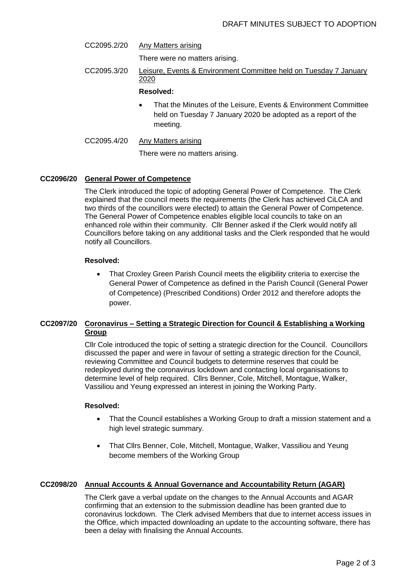CC2095.2/20 Any Matters arising

There were no matters arising.

CC2095.3/20 Leisure, Events & Environment Committee held on Tuesday 7 January 2020

## **Resolved:**

 That the Minutes of the Leisure, Events & Environment Committee held on Tuesday 7 January 2020 be adopted as a report of the meeting.

#### CC2095.4/20 Any Matters arising

There were no matters arising.

## **CC2096/20 General Power of Competence**

The Clerk introduced the topic of adopting General Power of Competence. The Clerk explained that the council meets the requirements (the Clerk has achieved CiLCA and two thirds of the councillors were elected) to attain the General Power of Competence. The General Power of Competence enables eligible local councils to take on an enhanced role within their community. Cllr Benner asked if the Clerk would notify all Councillors before taking on any additional tasks and the Clerk responded that he would notify all Councillors.

## **Resolved:**

 That Croxley Green Parish Council meets the eligibility criteria to exercise the General Power of Competence as defined in the Parish Council (General Power of Competence) (Prescribed Conditions) Order 2012 and therefore adopts the power.

# **CC2097/20 Coronavirus – Setting a Strategic Direction for Council & Establishing a Working Group**

Cllr Cole introduced the topic of setting a strategic direction for the Council. Councillors discussed the paper and were in favour of setting a strategic direction for the Council, reviewing Committee and Council budgets to determine reserves that could be redeployed during the coronavirus lockdown and contacting local organisations to determine level of help required. Cllrs Benner, Cole, Mitchell, Montague, Walker, Vassiliou and Yeung expressed an interest in joining the Working Party.

## **Resolved:**

- That the Council establishes a Working Group to draft a mission statement and a high level strategic summary.
- That Cllrs Benner, Cole, Mitchell, Montague, Walker, Vassiliou and Yeung become members of the Working Group

## **CC2098/20 Annual Accounts & Annual Governance and Accountability Return (AGAR)**

The Clerk gave a verbal update on the changes to the Annual Accounts and AGAR confirming that an extension to the submission deadline has been granted due to coronavirus lockdown. The Clerk advised Members that due to internet access issues in the Office, which impacted downloading an update to the accounting software, there has been a delay with finalising the Annual Accounts.